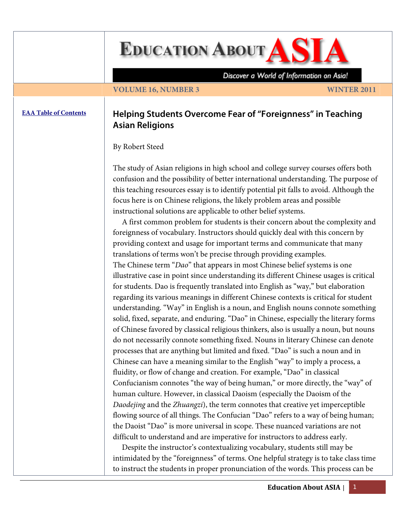# **EDUCATION ABOUT AS A**

Discover a World of Information on Asia!

## **VOLUME 16, NUMBER 3** WINTER 2011

# **[EAA Table of Contents](http://www.asian-studies.org/EAA/TOC/16-3.htm) Helping Students Overcome Fear of "Foreignness" in Teaching Asian Religions**

By Robert Steed

The study of Asian religions in high school and college survey courses offers both confusion and the possibility of better international understanding. The purpose of this teaching resources essay is to identify potential pit falls to avoid. Although the focus here is on Chinese religions, the likely problem areas and possible instructional solutions are applicable to other belief systems.

 A first common problem for students is their concern about the complexity and foreignness of vocabulary. Instructors should quickly deal with this concern by providing context and usage for important terms and communicate that many translations of terms won't be precise through providing examples. The Chinese term "*Dao*" that appears in most Chinese belief systems is one illustrative case in point since understanding its different Chinese usages is critical for students. Dao is frequently translated into English as "way," but elaboration regarding its various meanings in different Chinese contexts is critical for student understanding. "Way" in English is a noun, and English nouns connote something solid, fixed, separate, and enduring. "Dao" in Chinese, especially the literary forms of Chinese favored by classical religious thinkers, also is usually a noun, but nouns do not necessarily connote something fixed. Nouns in literary Chinese can denote processes that are anything but limited and fixed. "Dao" is such a noun and in Chinese can have a meaning similar to the English "way" to imply a process, a fluidity, or flow of change and creation. For example, "Dao" in classical Confucianism connotes "the way of being human," or more directly, the "way" of human culture. However, in classical Daoism (especially the Daoism of the *Daodejing* and the *Zhuangzi*), the term connotes that creative yet imperceptible flowing source of all things. The Confucian "Dao" refers to a way of being human; the Daoist "Dao" is more universal in scope. These nuanced variations are not difficult to understand and are imperative for instructors to address early.

 Despite the instructor's contextualizing vocabulary, students still may be intimidated by the "foreignness" of terms. One helpful strategy is to take class time to instruct the students in proper pronunciation of the words. This process can be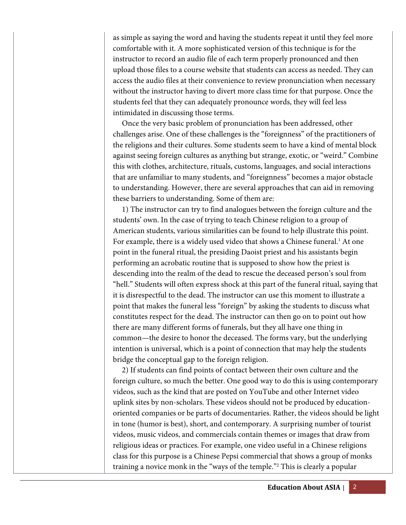as simple as saying the word and having the students repeat it until they feel more comfortable with it. A more sophisticated version of this technique is for the instructor to record an audio file of each term properly pronounced and then upload those files to a course website that students can access as needed. They can access the audio files at their convenience to review pronunciation when necessary without the instructor having to divert more class time for that purpose. Once the students feel that they can adequately pronounce words, they will feel less intimidated in discussing those terms.

 Once the very basic problem of pronunciation has been addressed, other challenges arise. One of these challenges is the "foreignness" of the practitioners of the religions and their cultures. Some students seem to have a kind of mental block against seeing foreign cultures as anything but strange, exotic, or "weird." Combine this with clothes, architecture, rituals, customs, languages, and social interactions that are unfamiliar to many students, and "foreignness" becomes a major obstacle to understanding. However, there are several approaches that can aid in removing these barriers to understanding. Some of them are:

 1) The instructor can try to find analogues between the foreign culture and the students' own. In the case of trying to teach Chinese religion to a group of American students, various similarities can be found to help illustrate this point. For example, there is a widely used video that shows a Chinese funeral.<sup>1</sup> At one point in the funeral ritual, the presiding Daoist priest and his assistants begin performing an acrobatic routine that is supposed to show how the priest is descending into the realm of the dead to rescue the deceased person's soul from "hell." Students will often express shock at this part of the funeral ritual, saying that it is disrespectful to the dead. The instructor can use this moment to illustrate a point that makes the funeral less "foreign" by asking the students to discuss what constitutes respect for the dead. The instructor can then go on to point out how there are many different forms of funerals, but they all have one thing in common—the desire to honor the deceased. The forms vary, but the underlying intention is universal, which is a point of connection that may help the students bridge the conceptual gap to the foreign religion.

 2) If students can find points of contact between their own culture and the foreign culture, so much the better. One good way to do this is using contemporary videos, such as the kind that are posted on YouTube and other Internet video uplink sites by non-scholars. These videos should not be produced by educationoriented companies or be parts of documentaries. Rather, the videos should be light in tone (humor is best), short, and contemporary. A surprising number of tourist videos, music videos, and commercials contain themes or images that draw from religious ideas or practices. For example, one video useful in a Chinese religions class for this purpose is a Chinese Pepsi commercial that shows a group of monks training a novice monk in the "ways of the temple."2 This is clearly a popular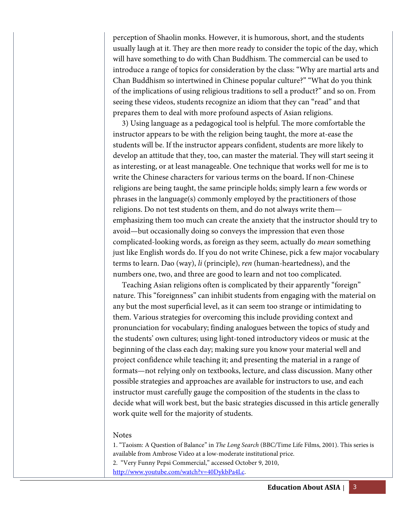perception of Shaolin monks. However, it is humorous, short, and the students usually laugh at it. They are then more ready to consider the topic of the day, which will have something to do with Chan Buddhism. The commercial can be used to introduce a range of topics for consideration by the class: "Why are martial arts and Chan Buddhism so intertwined in Chinese popular culture?" "What do you think of the implications of using religious traditions to sell a product?" and so on. From seeing these videos, students recognize an idiom that they can "read" and that prepares them to deal with more profound aspects of Asian religions.

 3) Using language as a pedagogical tool is helpful. The more comfortable the instructor appears to be with the religion being taught, the more at-ease the students will be. If the instructor appears confident, students are more likely to develop an attitude that they, too, can master the material. They will start seeing it as interesting, or at least manageable. One technique that works well for me is to write the Chinese characters for various terms on the board**.** If non-Chinese religions are being taught, the same principle holds; simply learn a few words or phrases in the language(s) commonly employed by the practitioners of those religions. Do not test students on them, and do not always write them emphasizing them too much can create the anxiety that the instructor should try to avoid—but occasionally doing so conveys the impression that even those complicated-looking words, as foreign as they seem, actually do *mean* something just like English words do. If you do not write Chinese, pick a few major vocabulary terms to learn. Dao (way), *li* (principle), *ren* (human-heartedness), and the numbers one, two, and three are good to learn and not too complicated.

 Teaching Asian religions often is complicated by their apparently "foreign" nature. This "foreignness" can inhibit students from engaging with the material on any but the most superficial level, as it can seem too strange or intimidating to them. Various strategies for overcoming this include providing context and pronunciation for vocabulary; finding analogues between the topics of study and the students' own cultures; using light-toned introductory videos or music at the beginning of the class each day; making sure you know your material well and project confidence while teaching it; and presenting the material in a range of formats—not relying only on textbooks, lecture, and class discussion. Many other possible strategies and approaches are available for instructors to use, and each instructor must carefully gauge the composition of the students in the class to decide what will work best, but the basic strategies discussed in this article generally work quite well for the majority of students.

### Notes

1. "Taoism: A Question of Balance" in *The Long Search* (BBC/Time Life Films, 2001). This series is available from Ambrose Video at a low-moderate institutional price.

2. "Very Funny Pepsi Commercial," accessed October 9, 2010,

http://www.youtube.com/watch?v=40DykbPa4Lc.